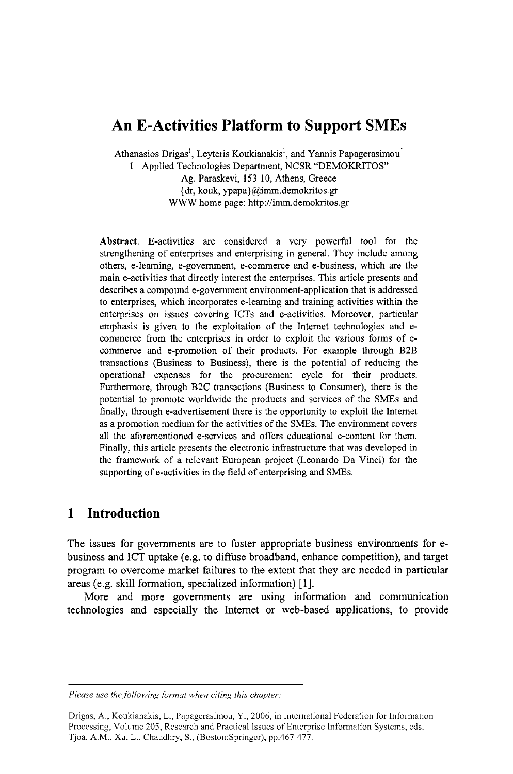# **An E-Activities Platform to Support SMEs**

Athanasios Drigas<sup>1</sup>, Leyteris Koukianakis<sup>1</sup>, and Yannis Papagerasimou<sup>1</sup> 1 Applied Technologies Department, NCSR "DEMOKRITOS" Ag. Paraskevi, 153 10, Athens, Greece {dr, kouk, ypapa}@imm.demokritos.gr WWW home page: http://imm.demokritos.gr

Abstract. E-activities are considered a very powerful tool for the strengthening of enterprises and enterprising in general. They include among others, e-learning, e-government, e-commerce and e-business, which are the main e-activities that directly interest the enterprises. This article presents and describes a compound e-government environment-application that is addressed to enterprises, which incorporates e-leaming and training activities within the enterprises on issues covering ICTs and e-activities. Moreover, particular emphasis is given to the exploitation of the Intemet technologies and ecommerce from the enterprises in order to exploit the various forms of ecommerce and e-promotion of their products. For example through B2B transactions (Business to Business), there is the potential of reducing the operational expenses for the procurement cycle for their products. Furthermore, through B2C transactions (Business to Consumer), there is the potential to promote worldwide the products and services of the SMEs and finally, through e-advertisement there is the opportunity to exploit the Intemet as a promotion medium for the activities of the SMEs. The environment covers all the aforementioned e-services and offers educational e-content for them. Finally, this article presents the electronic infrastructure that was developed in the framework of a relevant European project (Leonardo Da Vinci) for the supporting of e-activities in the field of enterprising and SMEs.

# **1 Introduction**

The issues for governments are to foster appropriate business environments for ebusiness and ICT uptake (e.g. to diffuse broadband, enhance competition), and target program to overcome market failures to the extent that they are needed in particular areas (e.g. skill formation, specialized information) [1].

More and more governments are using information and communication technologies and especially the Intemet or web-based applications, to provide

*Please use the following format when citing this chapter:* 

Drigas, A., Koukianakis, L., Papagerasimou, Y., 2006, in International Federation for Information Processing, Volume 205, Research and Practical Issues of Enterprise Information Systems, eds. Tjoa, A.M., Xu, L., Chaudhry, S., (Boston:Springer), pp.467-477.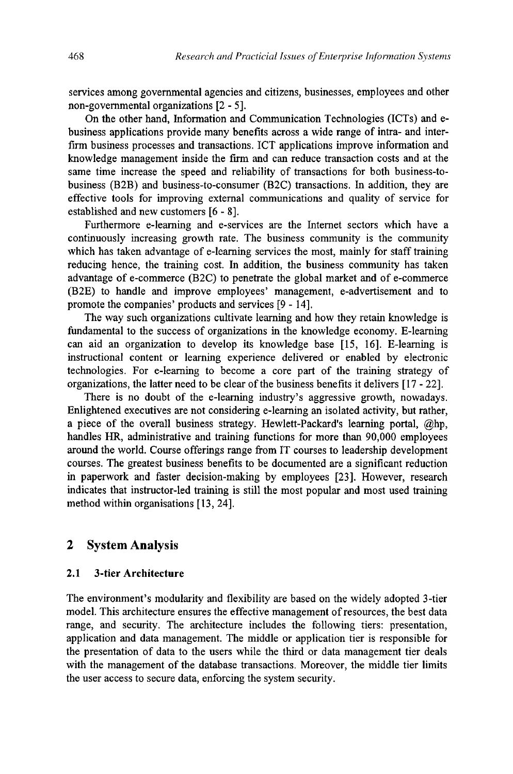services among governmental agencies and citizens, businesses, employees and other non-governmental organizations [2 - 5].

On the other hand, Information and Communication Technologies (ICTs) and ebusiness applications provide many benefits across a wide range of intra- and interfirm business processes and transactions. ICT applications improve information and knowledge management inside the firm and can reduce transaction costs and at the same time increase the speed and reliability of transactions for both business-tobusiness (B2B) and business-to-consumer (B2C) transactions. In addition, they are effective tools for improving external communications and quality of service for established and new customers [6-8].

Furthermore e-leaming and e-services are the Internet sectors which have a continuously increasing growth rate. The business community is the community which has taken advantage of e-leaming services the most, mainly for staff training reducing hence, the training cost. In addition, the business community has taken advantage of e-commerce (B2C) to penetrate the global market and of e-commerce (B2E) to handle and improve employees' management, e-advertisement and to promote the companies' products and services [9 -14].

The way such organizations cultivate learning and how they retain knowledge is fundamental to the success of organizations in the knowledge economy. E-leaming can aid an organization to develop its knowledge base [15, 16]. E-leaming is instructional content or learning experience delivered or enabled by electronic technologies. For e-leaming to become a core part of the training strategy of organizations, the latter need to be clear of the business benefits it delivers [17-22].

There is no doubt of the e-leaming industry's aggressive growth, nowadays. Enlightened executives are not considering e-leaming an isolated activity, but rather, a piece of the overall business strategy. Hewlett-Packard's leaming portal, @hp, handles HR, administrative and training functions for more than 90,000 employees around the world. Course offerings range from IT courses to leadership development courses. The greatest business benefits to be documented are a significant reduction in paperwork and faster decision-making by employees [23]. However, research indicates that instructor-led training is still the most popular and most used training method within organisations [13, 24].

### **2 System Analysis**

#### **2.1 3-tier Architecture**

The environment's modularity and flexibility are based on the widely adopted 3-tier model. This architecture ensures the effective management of resources, the best data range, and security. The architecture includes the following tiers: presentation, application and data management. The middle or application tier is responsible for the presentation of data to the users while the third or data management tier deals with the management of the database transactions. Moreover, the middle fier limits the user access to secure data, enforcing the system security.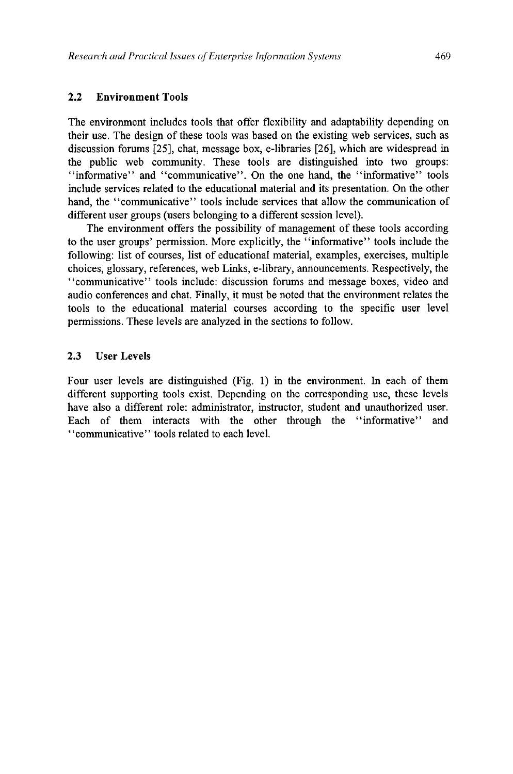#### **2.2 Environment Tools**

The environment includes tools that offer flexibility and adaptability depending on their use. The design of these tools was based on the existing web services, such as discussion forums [25], chat, message box, e-libraries [26], which are widespread in the public web community. These tools are distinguished into two groups: "informative" and "communicative". On the one hand, the "informative" tools include services related to the educational material and its presentation. On the other hand, the "communicative" tools include services that allow the communication of different user groups (users belonging to a different session level).

The environment offers the possibility of management of these tools according to the user groups' permission. More explicitly, the "informative" tools include the following: list of courses, list of educational material, examples, exercises, multiple choices, glossary, references, web Links, e-library, announcements. Respectively, the "communicative" tools include: discussion forums and message boxes, video and audio conferences and chat. Finally, it must be noted that the environment relates the tools to the educational material courses according to the specific user level permissions. These levels are analyzed in the sections to follow.

### 2.3 **User Levels**

Four user levels are distinguished (Fig. 1) in the environment. In each of them different supporting tools exist. Depending on the corresponding use, these levels have also a different role: administrator, instructor, student and unauthorized user. Each of them interacts with the other through the "informative" and "communicative" tools related to each level.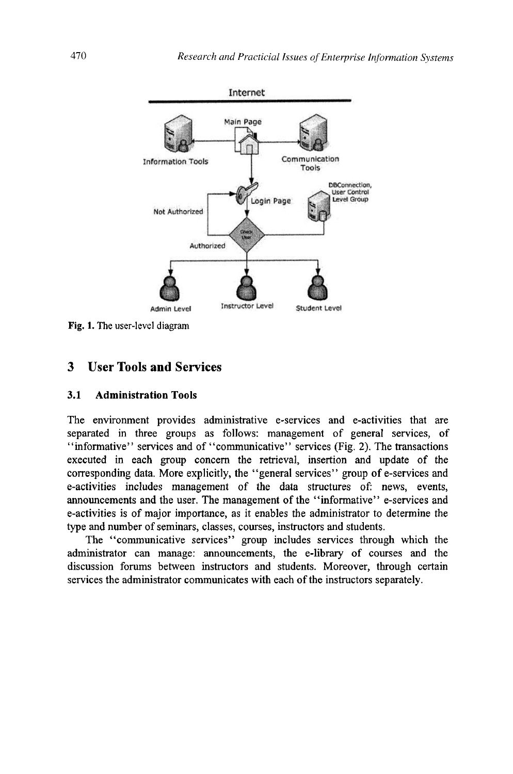

**Fig. 1. The user-level diagram** 

# **3 User Tools and Services**

#### **3.1 Administration Tools**

The environment provides administrative e-services and e-activities that are separated in three groups as follows: management of general services, of "informative" services and of "communicative" services (Fig. 2). The transactions executed in each group concern the retrieval, insertion and update of the corresponding data. More explicitly, the "general services" group of e-services and e-activities includes management of the data structures of: news, events, announcements and the user. The management of the "informative" e-services and e-activities is of major importance, as it enables the administrator to determine the type and number of seminars, classes, courses, instructors and students.

The "communicative services" group includes services through which the administrator can manage: announcements, the e-library of courses and the discussion forums between instructors and students. Moreover, through certain services the administrator communicates with each of the instructors separately.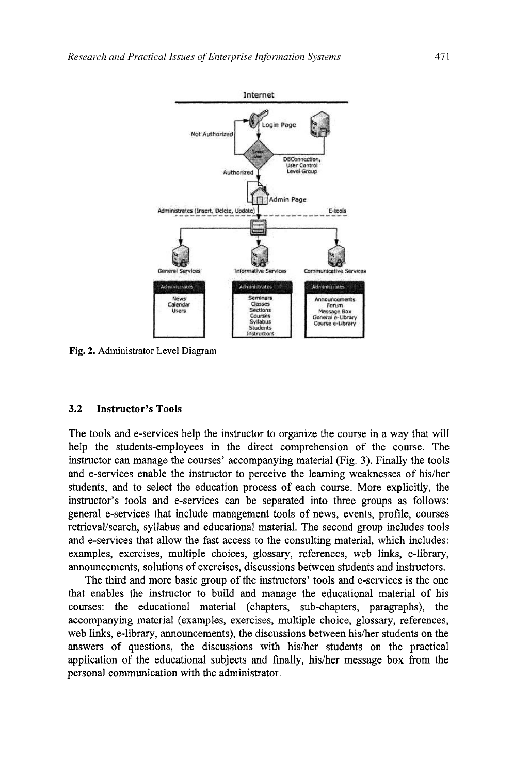

Fig. 2. Administrator Level Diagram

#### **3.2 Instructor's Tools**

The tools and e-services help the instructor to organize the course in a way that will help the students-employees in the direct comprehension of the course. The instructor can manage the courses' accompanying material (Fig. 3). Finally the tools and e-services enable the instructor to perceive the learning weaknesses of his/her students, and to select the education process of each course. More explicitly, the instructor's tools and e-services can be separated into three groups as follows: general e-services that include management tools of news, events, profile, courses retrieval/search, syllabus and educational material. The second group includes tools and e-services that allow the fast access to the consulting material, which includes: examples, exercises, multiple choices, glossary, references, web links, e-library, announcements, solutions of exercises, discussions between students and instructors.

The third and more basic group of the instructors' tools and e-services is the one that enables the instructor to build and manage the educational material of his courses: the educational material (chapters, sub-chapters, paragraphs), the accompanying material (examples, exercises, multiple choice, glossary, references, web Imks, e-library, announcements), the discussions between his/her students on the answers of questions, the discussions with his/her students on the practical application of the educational subjects and finally, his/her message box from the personal communication with the administrator.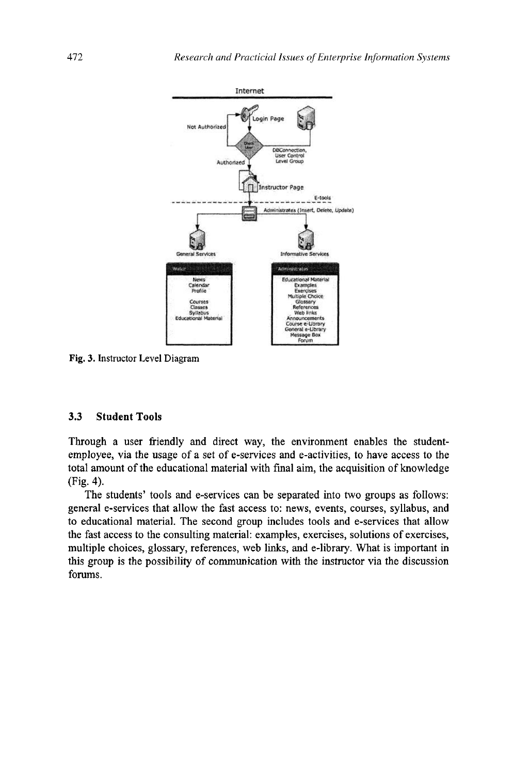

Fig. 3. Instructor Level Diagram

### **3.3 Student Tools**

Through a user friendly and direct way, the environment enables the studentemployee, via the usage of a set of e-services and e-activities, to have access to the total amount of the educational material with final aim, the acquisition of knowledge (Fig. 4).

The students' tools and e-services can be separated into two groups as follows: general e-services that allow the fast access to: news, events, courses, syllabus, and to educational material. The second group includes tools and e-services that allow the fast access to the consulting material: examples, exercises, solutions of exercises, multiple choices, glossary, references, web links, and e-library. What is important in this group is the possibility of communication with the instructor via the discussion forums.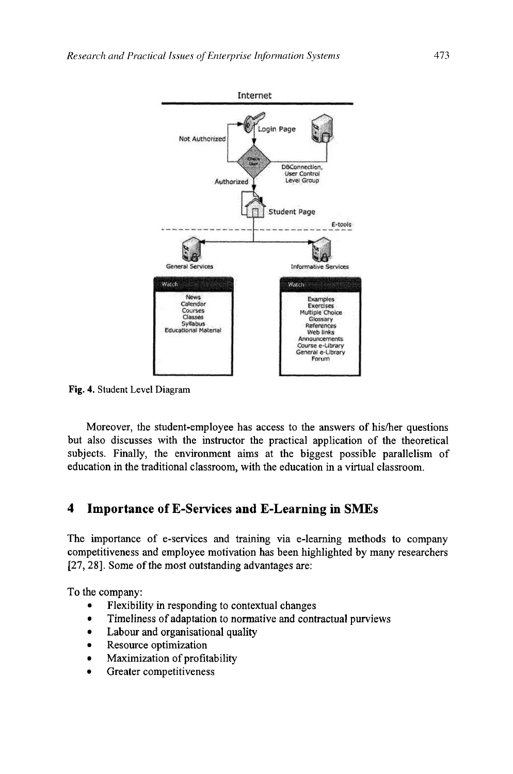

Fig. 4, Student Level Diagram

Moreover, the student-employee has access to the answers of his/her questions but also discusses with the instructor the practical application of the theoretical subjects. Finally, the environment aims at the biggest possible parallelism of education in the traditional classroom, with the education in a virtual classroom.

# **4 Importance of E-Services and E-Learning in SMEs**

The importance of e-services and training via e-leaming methods to company competitiveness and employee motivation has been highlighted by many researchers [27,28]. Some of the most outstanding advantages are:

To the company:

- Flexibility in responding to contextual changes
- Timeliness of adaptation to normative and contractual purviews
- Labour and organisational quality
- Resource optimization
- Maximization of profitability
- Greater competitiveness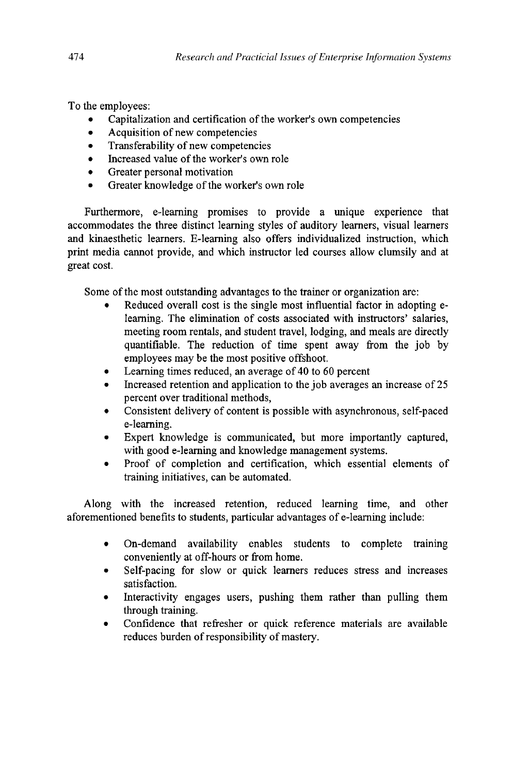To the employees:

- Capitalization and certification of the worker's own competencies  $\bullet$
- Acquisition of new competencies  $\bullet$
- Transferability of new competencies  $\bullet$
- Increased value of the worker's own role  $\bullet$
- Greater personal motivation  $\bullet$
- Greater knowledge of the worker's own role  $\bullet$

Furthermore, e-learning promises to provide a unique experience that accommodates the three distinct learning styles of auditory learners, visual learners and kinaesthetic learners. E-leaming also offers individualized instruction, which print media cannot provide, and which instructor led courses allow clumsily and at great cost.

Some of the most outstanding advantages to the trainer or organization are:

- Reduced overall cost is the single most influential factor in adopting eleaming. The elimination of costs associated with instructors' salaries, meeting room rentals, and student travel, lodging, and meals are directly quantifiable. The reduction of time spent away from the job by employees may be the most positive offshoot.
- Learning times reduced, an average of 40 to 60 percent
- Increased retention and application to the job averages an increase of 25 percent over traditional methods,
- Consistent delivery of content is possible with asynchronous, self-paced e-leaming.
- Expert knowledge is communicated, but more importantly captured, with good e-leaming and knowledge management systems.
- Proof of completion and certification, which essential elements of training initiatives, can be automated.

Along with the increased retention, reduced leaming time, and other aforementioned benefits to students, particular advantages of e-leaming include:

- On-demand availability enables students to complete training conveniently at off-hours or from home.
- Self-pacing for slow or quick leamers reduces stress and increases satisfaction.
- Interactivity engages users, pushing them rather than pulling them through training.
- Confidence that refresher or quick reference materials are available reduces burden of responsibility of mastery.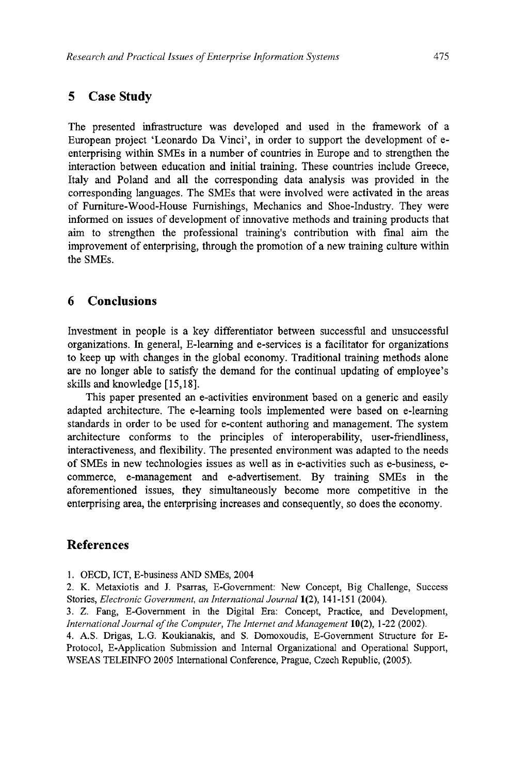# **5 Case Study**

The presented infrastructure was developed and used in the framework of a European project 'Leonardo Da Vinci', in order to support the development of eenterprising within SMEs in a number of countries in Europe and to strengthen the interaction between education and initial training. These countries include Greece, Italy and Poland and all the corresponding data analysis was provided in the corresponding languages. The SMEs that were involved were activated in the areas of Fumiture-Wood-House Furnishings, Mechanics and Shoe-Industry. They were informed on issues of development of innovative methods and training products that aim to strengthen the professional training's contribution with final aim the improvement of enterprising, through the promotion of a new training culture within the SMEs.

# **6 Conclusions**

Investment in people is a key differentiator between successful and unsuccessful organizations. In general, E-leaming and e-services is a facilitator for organizations to keep up with changes in the global economy. Traditional training methods alone are no longer able to satisfy the demand for the continual updating of employee's skills and knowledge [15,18].

This paper presented an e-activities environment based on a generic and easily adapted architecture. The e-leaming tools implemented were based on e-leaming standards in order to be used for e-content authoring and management. The system architecture conforms to the principles of interoperability, user-friendliness, interactiveness, and flexibility. The presented environment was adapted to the needs of SMEs in new technologies issues as well as in e-activities such as e-business, ecommerce, e-management and e-advertisement. By training SMEs in the aforementioned issues, they simultaneously become more competitive in the enterprising area, the enterprising increases and consequently, so does the economy.

# **References**

1. OECD, ICT, E-business AND SMEs, 2004

2. K. Metaxiotis and J. Psarras, E-Govemment: New Concept, Big Challenge, Success **Stories,** *Electronic Government, an International Journal* **1(2), 141-151 (2004).** 

3. Z. Fang, E-Govemment in the Digital Era: Concept, Practice, and Development, *International Journal of the Computer, The Internet and Management* 10(2), 1-22 (2002).

4. A.S. Drigas, L.G. Koukianakis, and S. Domoxoudis, E-Govemment Structure for E-Protocol, E-Application Submission and Internal Organizational and Operational Support, WSEAS TELEINFO 2005 International Conference, Prague, Czech Republic, (2005).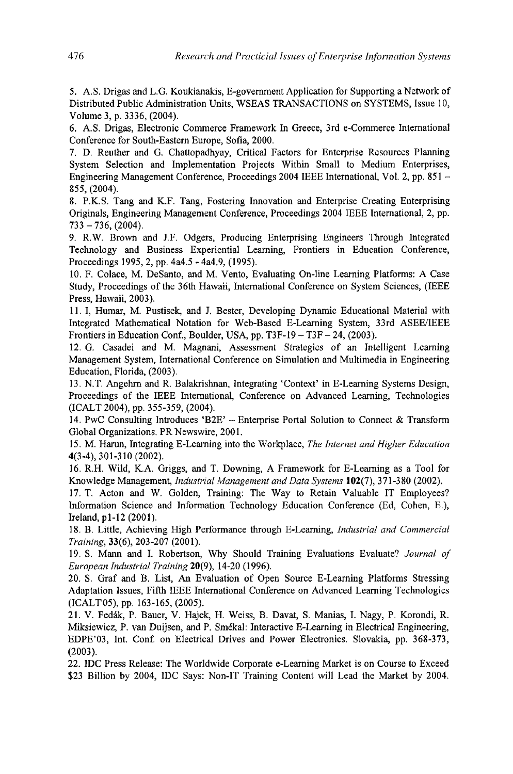5. A.S. Drigas and L.G. Koukianakis, E-govemment Application for Supporting a Network of Distributed Public Administration Units, WSEAS TRANSACTIONS on SYSTEMS, Issue 10, Volume 3, p. 3336, (2004).

6. A.S. Drigas, Electronic Commerce Framework In Greece, 3rd e-Commerce International Conference for South-Eastem Europe, Sofia, 2000.

7. D. Reuther and G. Chattopadhyay, Critical Factors for Enterprise Resources Planning System Selection and Implementation Projects Within Small to Medium Enterprises, Engineering Management Conference, Proceedings 2004 IEEE International, Vol. 2, pp. 851 - 855, (2004).

8. P.K.S. Tang and K.F. Tang, Fostering Innovation and Enterprise Creating Enterprising Originals, Engineering Management Conference, Proceedings 2004 IEEE International, 2, pp.  $733 - 736$ , (2004).

9. R.W. Brown and J.F. Odgers, Producing Enterprising Engineers Through Integrated Technology and Business Experiential Learning, Frontiers in Education Conference, Proceedings 1995, 2, pp. 4a4.5 - 4a4.9, (1995).

10. F. Colace, M. DeSanto, and M. Vento, Evaluating On-line Learning Platforms: A Case Study, Proceedings of the 36th Hawaii, International Conference on System Sciences, (IEEE Press, Hawaii, 2003).

11. I, Humar, M. Pustisek, and J. Bester, Developing Dynamic Educational Material with Integrated Mathematical Notation for Web-Based E-Leaming System, 33 rd ASEE/IEEE Frontiers in Education Conf., Boulder, USA, pp.  $T3F-19 - T3F - 24$ , (2003).

12. G. Casadei and M. Magnani, Assessment Strategies of an Intelligent Learning Management System, International Conference on Simulation and Multimedia in Engineering Education, Florida, (2003).

13. N.T. Angehm and R. Balakrishnan, Integrating 'Context' in E-Leaming Systems Design, Proceedings of the IEEE International, Conference on Advanced Learning, Technologies (ICALT 2004), pp. 355-359, (2004).

14. PwC Consulting Introduces 'B2E' - Enterprise Portal Solution to Connect & Transform Global Organizations. PR Newswire, 2001.

15. M. Harun, Integrating E-Leaming into the Workplace, *The Internet and Higher Education*  4(3-4), 301-310 (2002).

16. R.H. Wild, K.A. Griggs, and T. Downing, A Framework for E-Leaming as a Tool for Knowledge Management, *Industrial Management and Data Systems* 102(7), 371-380 (2002).

17. T. Acton and W. Golden, Training: The Way to Retain Valuable IT Employees? Information Science and Information Technology Education Conference (Ed, Cohen, E.), Ireland, pl-12 (2001).

18. B. Little, Achieving High Performance through E-Leaming, *Industrial and Commercial Training,* 33(6), 203-207 (2001).

19. S. Mann and I. Robertson, Why Should Training Evaluations Evaluate? *Journal of European Industrial Training 20(9),* 14-20 (1996).

20. S. Graf and B. List, An Evaluation of Open Source E-Leaming Platforms Stressing Adaptation Issues, Fifth IEEE International Conference on Advanced Leaming Technologies (ICALr05), pp. 163-165, (2005).

21. V. Fedák, P. Bauer, V. Hajek, H. Weiss, B. Davat, S. Manias, I. Nagy, P. Korondi, R. Miksiewicz, P. van Duijsen, and P. Smekal: Interactive E-Learning in Electrical Engineering, EDPE'03, Int. Conf. on Electrical Drives and Power Electronics. Slovakia, pp. 368-373, (2003).

22. IDC Press Release: The Worldwide Corporate e-Leaming Market is on Course to Exceed \$23 Billion by 2004, IDC Says: Non-IT Training Content will Lead the Market by 2004.